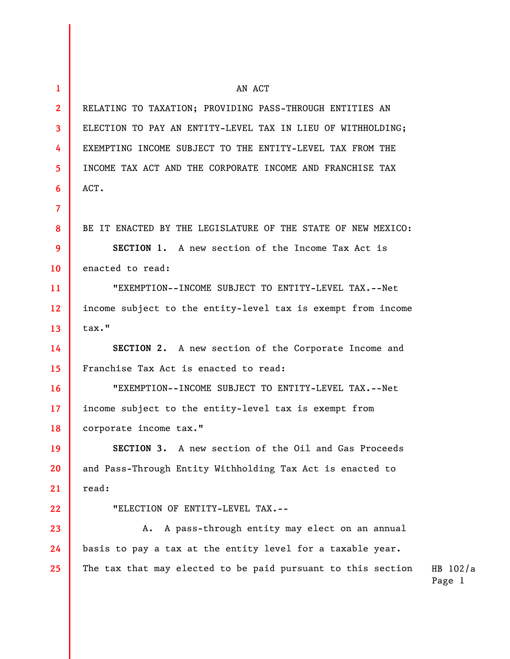| $\mathbf{1}$            | AN ACT                                                       |                      |
|-------------------------|--------------------------------------------------------------|----------------------|
| $\mathbf{2}$            | RELATING TO TAXATION; PROVIDING PASS-THROUGH ENTITIES AN     |                      |
| $\overline{\mathbf{3}}$ | ELECTION TO PAY AN ENTITY-LEVEL TAX IN LIEU OF WITHHOLDING;  |                      |
| 4                       | EXEMPTING INCOME SUBJECT TO THE ENTITY-LEVEL TAX FROM THE    |                      |
| 5                       | INCOME TAX ACT AND THE CORPORATE INCOME AND FRANCHISE TAX    |                      |
| 6                       | ACT.                                                         |                      |
| $\overline{7}$          |                                                              |                      |
| 8                       | BE IT ENACTED BY THE LEGISLATURE OF THE STATE OF NEW MEXICO: |                      |
| 9                       | SECTION 1. A new section of the Income Tax Act is            |                      |
| 10 <sup>°</sup>         | enacted to read:                                             |                      |
| 11                      | "EXEMPTION--INCOME SUBJECT TO ENTITY-LEVEL TAX.--Net         |                      |
| 12 <sup>2</sup>         | income subject to the entity-level tax is exempt from income |                      |
| 13                      | tax."                                                        |                      |
| 14                      | SECTION 2. A new section of the Corporate Income and         |                      |
| 15                      | Franchise Tax Act is enacted to read:                        |                      |
| 16                      | "EXEMPTION--INCOME SUBJECT TO ENTITY-LEVEL TAX.--Net         |                      |
| 17 <sup>2</sup>         | income subject to the entity-level tax is exempt from        |                      |
| 18                      | corporate income tax."                                       |                      |
| 19                      | SECTION 3. A new section of the Oil and Gas Proceeds         |                      |
| 20                      | and Pass-Through Entity Withholding Tax Act is enacted to    |                      |
| 21                      | read:                                                        |                      |
| 22                      | "ELECTION OF ENTITY-LEVEL TAX.--                             |                      |
| 23                      | A pass-through entity may elect on an annual<br>Α.           |                      |
| 24                      | basis to pay a tax at the entity level for a taxable year.   |                      |
| 25                      | The tax that may elected to be paid pursuant to this section | HB $102/a$<br>Page 1 |
|                         |                                                              |                      |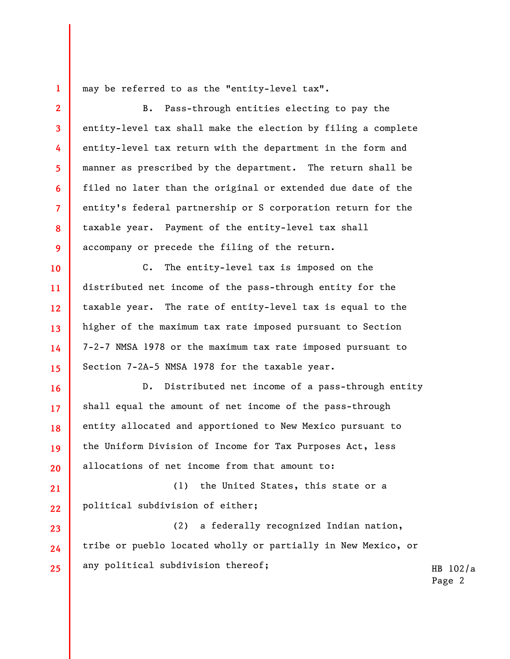may be referred to as the "entity-level tax".

**1** 

**10** 

**11** 

**12** 

**13** 

**14** 

**15** 

**16** 

**17** 

**18** 

**19** 

**20** 

**23** 

**24** 

**25** 

**2 3 4 5 6 7 8 9**  B. Pass-through entities electing to pay the entity-level tax shall make the election by filing a complete entity-level tax return with the department in the form and manner as prescribed by the department. The return shall be filed no later than the original or extended due date of the entity's federal partnership or S corporation return for the taxable year. Payment of the entity-level tax shall accompany or precede the filing of the return.

C. The entity-level tax is imposed on the distributed net income of the pass-through entity for the taxable year. The rate of entity-level tax is equal to the higher of the maximum tax rate imposed pursuant to Section 7-2-7 NMSA 1978 or the maximum tax rate imposed pursuant to Section 7-2A-5 NMSA 1978 for the taxable year.

D. Distributed net income of a pass-through entity shall equal the amount of net income of the pass-through entity allocated and apportioned to New Mexico pursuant to the Uniform Division of Income for Tax Purposes Act, less allocations of net income from that amount to:

**21 22**  (1) the United States, this state or a political subdivision of either;

(2) a federally recognized Indian nation, tribe or pueblo located wholly or partially in New Mexico, or any political subdivision thereof;

HB 102/a Page 2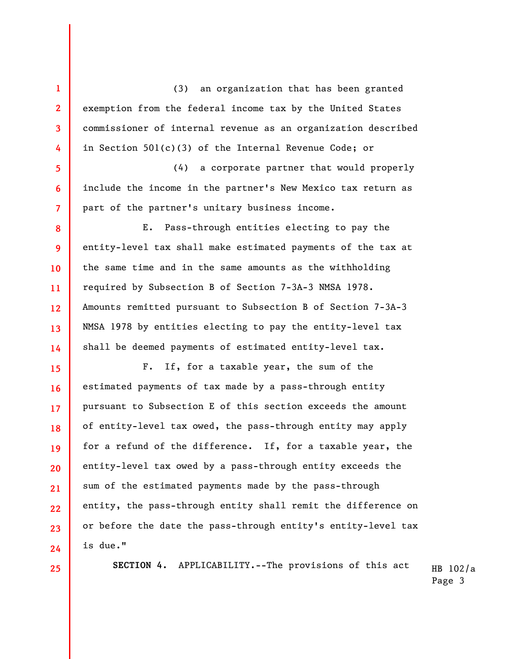(3) an organization that has been granted exemption from the federal income tax by the United States commissioner of internal revenue as an organization described in Section 501(c)(3) of the Internal Revenue Code; or

(4) a corporate partner that would properly include the income in the partner's New Mexico tax return as part of the partner's unitary business income.

E. Pass-through entities electing to pay the entity-level tax shall make estimated payments of the tax at the same time and in the same amounts as the withholding required by Subsection B of Section 7-3A-3 NMSA 1978. Amounts remitted pursuant to Subsection B of Section 7-3A-3 NMSA 1978 by entities electing to pay the entity-level tax shall be deemed payments of estimated entity-level tax.

F. If, for a taxable year, the sum of the estimated payments of tax made by a pass-through entity pursuant to Subsection E of this section exceeds the amount of entity-level tax owed, the pass-through entity may apply for a refund of the difference. If, for a taxable year, the entity-level tax owed by a pass-through entity exceeds the sum of the estimated payments made by the pass-through entity, the pass-through entity shall remit the difference on or before the date the pass-through entity's entity-level tax is due."

**25** 

**1** 

**2** 

**3** 

**4** 

**5** 

**6** 

**7** 

**8** 

**9** 

**10** 

**11** 

**12** 

**13** 

**14** 

**15** 

**16** 

**17** 

**18** 

**19** 

**20** 

**21** 

**22** 

**23** 

**24** 

HB 102/a **SECTION 4.** APPLICABILITY.--The provisions of this act

Page 3